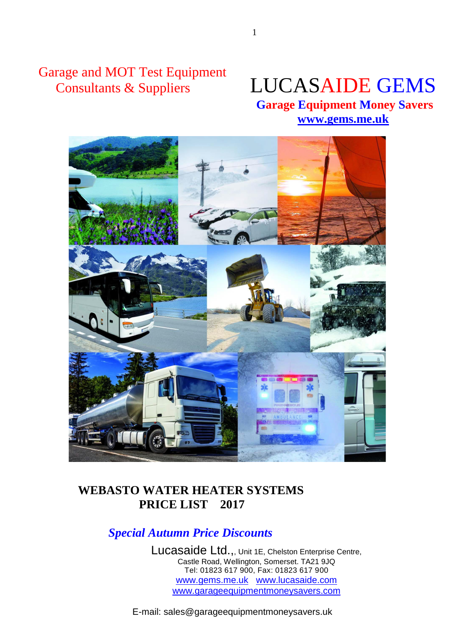Garage and MOT Test Equipment

# Consultants & Suppliers LUCASAIDE GEMS

 **Garage Equipment Money Savers [www.gems.me.uk](http://www.gems.me.uk/)**



## **WEBASTO WATER HEATER SYSTEMS PRICE LIST 2017**

## *Special Autumn Price Discounts*

Lucasaide Ltd.,, Unit 1E, Chelston Enterprise Centre, Castle Road, Wellington, Somerset. TA21 9JQ Tel: 01823 617 900, Fax: 01823 617 900 www.gems.me.uk www.lucasaide.com www.garageequipmentmoneysavers.com

E-mail: sales@garageequipmentmoneysavers.uk

1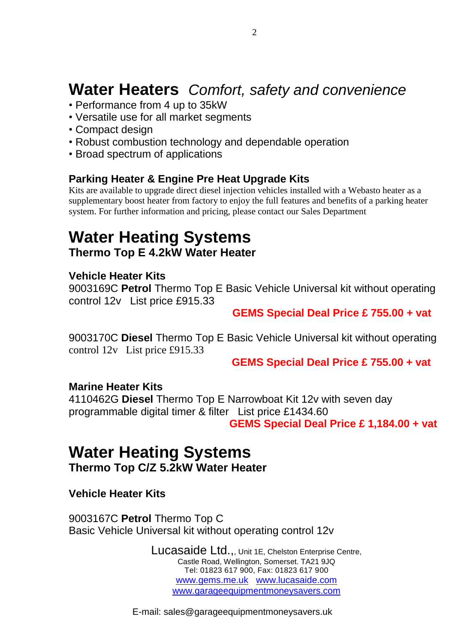## **Water Heaters** *Comfort, safety and convenience*

- Performance from 4 up to 35kW
- Versatile use for all market segments
- Compact design
- Robust combustion technology and dependable operation
- Broad spectrum of applications

## **Parking Heater & Engine Pre Heat Upgrade Kits**

Kits are available to upgrade direct diesel injection vehicles installed with a Webasto heater as a supplementary boost heater from factory to enjoy the full features and benefits of a parking heater system. For further information and pricing, please contact our Sales Department

# **Water Heating Systems**

**Thermo Top E 4.2kW Water Heater**

## **Vehicle Heater Kits**

9003169C **Petrol** Thermo Top E Basic Vehicle Universal kit without operating control 12v List price £915.33

## **GEMS Special Deal Price £ 755.00 + vat**

9003170C **Diesel** Thermo Top E Basic Vehicle Universal kit without operating control 12v List price £915.33

**GEMS Special Deal Price £ 755.00 + vat**

## **Marine Heater Kits**

4110462G **Diesel** Thermo Top E Narrowboat Kit 12v with seven day programmable digital timer & filter List price £1434.60 **GEMS Special Deal Price £ 1,184.00 + vat**

## **Water Heating Systems Thermo Top C/Z 5.2kW Water Heater**

## **Vehicle Heater Kits**

9003167C **Petrol** Thermo Top C Basic Vehicle Universal kit without operating control 12v

> Lucasaide Ltd.,, Unit 1E, Chelston Enterprise Centre, Castle Road, Wellington, Somerset. TA21 9JQ Tel: 01823 617 900, Fax: 01823 617 900 www.gems.me.uk www.lucasaide.com www.garageequipmentmoneysavers.com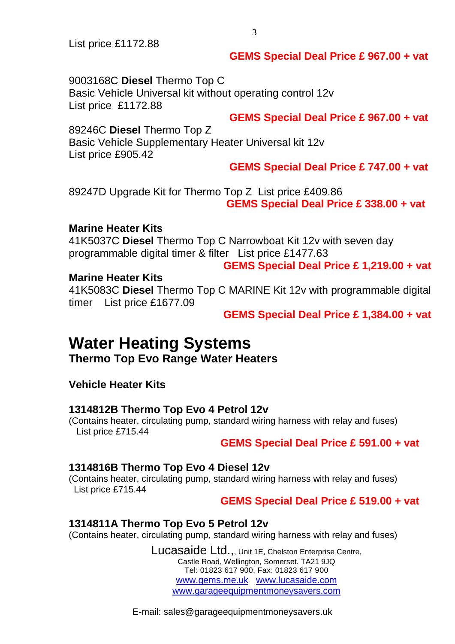List price £1172.88

## **GEMS Special Deal Price £ 967.00 + vat**

9003168C **Diesel** Thermo Top C Basic Vehicle Universal kit without operating control 12v List price £1172.88

**GEMS Special Deal Price £ 967.00 + vat**

## 89246C **Diesel** Thermo Top Z

Basic Vehicle Supplementary Heater Universal kit 12v List price £905.42

## **GEMS Special Deal Price £ 747.00 + vat**

89247D Upgrade Kit for Thermo Top Z List price £409.86 **GEMS Special Deal Price £ 338.00 + vat**

#### **Marine Heater Kits**

41K5037C **Diesel** Thermo Top C Narrowboat Kit 12v with seven day programmable digital timer & filter List price £1477.63

#### **GEMS Special Deal Price £ 1,219.00 + vat**

#### **Marine Heater Kits**

41K5083C **Diesel** Thermo Top C MARINE Kit 12v with programmable digital timer List price £1677.09

**GEMS Special Deal Price £ 1,384.00 + vat**

## **Water Heating Systems**

**Thermo Top Evo Range Water Heaters**

## **Vehicle Heater Kits**

## **1314812B Thermo Top Evo 4 Petrol 12v**

(Contains heater, circulating pump, standard wiring harness with relay and fuses) List price £715.44

## **GEMS Special Deal Price £ 591.00 + vat**

#### **1314816B Thermo Top Evo 4 Diesel 12v**

(Contains heater, circulating pump, standard wiring harness with relay and fuses) List price £715.44

#### **GEMS Special Deal Price £ 519.00 + vat**

## **1314811A Thermo Top Evo 5 Petrol 12v**

(Contains heater, circulating pump, standard wiring harness with relay and fuses)

Lucasaide Ltd.,, Unit 1E, Chelston Enterprise Centre, Castle Road, Wellington, Somerset. TA21 9JQ Tel: 01823 617 900, Fax: 01823 617 900 www.gems.me.uk www.lucasaide.com www.garageequipmentmoneysavers.com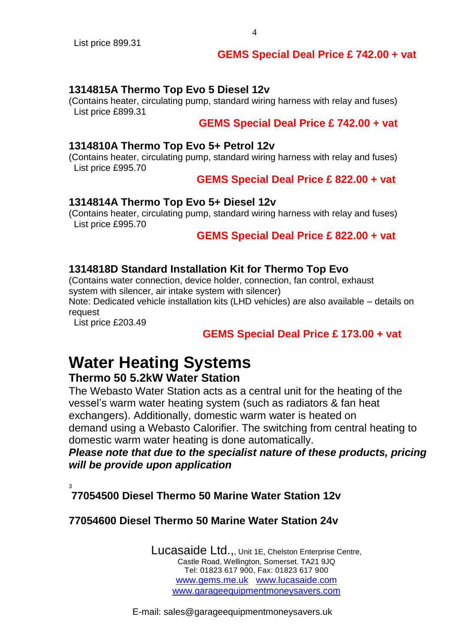## **GEMS Special Deal Price £ 742.00 + vat**

## **1314815A Thermo Top Evo 5 Diesel 12v**

(Contains heater, circulating pump, standard wiring harness with relay and fuses) List price £899.31

### **GEMS Special Deal Price £ 742.00 + vat**

#### **1314810A Thermo Top Evo 5+ Petrol 12v**

(Contains heater, circulating pump, standard wiring harness with relay and fuses) List price £995.70

#### **GEMS Special Deal Price £ 822.00 + vat**

#### **1314814A Thermo Top Evo 5+ Diesel 12v**

(Contains heater, circulating pump, standard wiring harness with relay and fuses) List price £995.70

 **GEMS Special Deal Price £ 822.00 + vat**

## **1314818D Standard Installation Kit for Thermo Top Evo**

(Contains water connection, device holder, connection, fan control, exhaust system with silencer, air intake system with silencer)

Note: Dedicated vehicle installation kits (LHD vehicles) are also available – details on request

List price £203.49

## **GEMS Special Deal Price £ 173.00 + vat**

## **Water Heating Systems Thermo 50 5.2kW Water Station**

The Webasto Water Station acts as a central unit for the heating of the vessel's warm water heating system (such as radiators & fan heat exchangers). Additionally, domestic warm water is heated on demand using a Webasto Calorifier. The switching from central heating to domestic warm water heating is done automatically.

*Please note that due to the specialist nature of these products, pricing will be provide upon application*

3

**77054500 Diesel Thermo 50 Marine Water Station 12v**

## **77054600 Diesel Thermo 50 Marine Water Station 24v**

Lucasaide Ltd.,, Unit 1E, Chelston Enterprise Centre, Castle Road, Wellington, Somerset. TA21 9JQ Tel: 01823 617 900, Fax: 01823 617 900 www.gems.me.uk www.lucasaide.com www.garageequipmentmoneysavers.com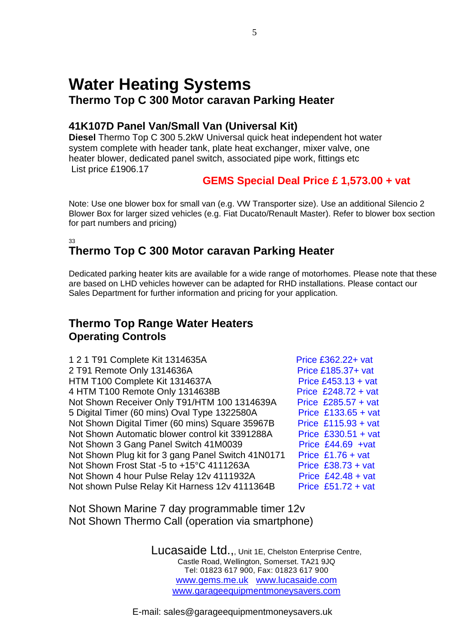## **Water Heating Systems Thermo Top C 300 Motor caravan Parking Heater**

## **41K107D Panel Van/Small Van (Universal Kit)**

**Diesel** Thermo Top C 300 5.2kW Universal quick heat independent hot water system complete with header tank, plate heat exchanger, mixer valve, one heater blower, dedicated panel switch, associated pipe work, fittings etc List price £1906.17

## **GEMS Special Deal Price £ 1,573.00 + vat**

Note: Use one blower box for small van (e.g. VW Transporter size). Use an additional Silencio 2 Blower Box for larger sized vehicles (e.g. Fiat Ducato/Renault Master). Refer to blower box section for part numbers and pricing)

#### 33 **Thermo Top C 300 Motor caravan Parking Heater**

Dedicated parking heater kits are available for a wide range of motorhomes. Please note that these are based on LHD vehicles however can be adapted for RHD installations. Please contact our Sales Department for further information and pricing for your application.

## **Thermo Top Range Water Heaters Operating Controls**

Price £362.22+ vat **Price £185.37+ vat** Price  $£453.13 + vat$ Price  $£248.72 + vat$ Price £285.57 + vat Price  $£133.65 + vat$ Price  $£115.93 + vat$ Price  $£330.51 + vat$ Price  $£44.69 +vat$ Price £1.76 + vat Price  $£38.73 + vat$ Price  $£42.48 + *v*at$ Price £51.72 + vat

Not Shown Marine 7 day programmable timer 12v Not Shown Thermo Call (operation via smartphone)

> Lucasaide Ltd.,, Unit 1E, Chelston Enterprise Centre, Castle Road, Wellington, Somerset. TA21 9JQ Tel: 01823 617 900, Fax: 01823 617 900 www.gems.me.uk www.lucasaide.com www.garageequipmentmoneysavers.com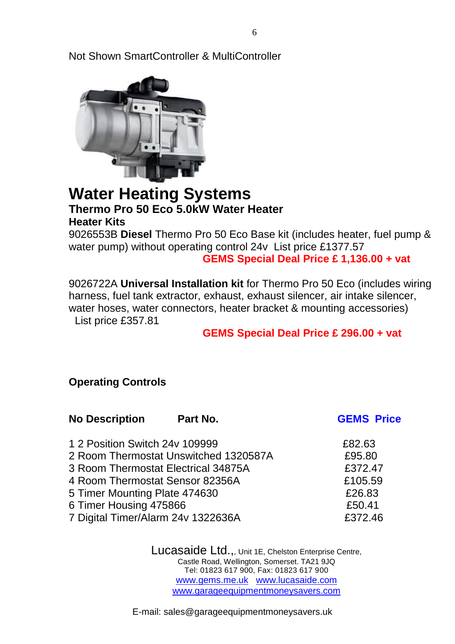Not Shown SmartController & MultiController



## **Water Heating Systems Thermo Pro 50 Eco 5.0kW Water Heater Heater Kits**

9026553B **Diesel** Thermo Pro 50 Eco Base kit (includes heater, fuel pump & water pump) without operating control 24v List price £1377.57  **GEMS Special Deal Price £ 1,136.00 + vat**

9026722A **Universal Installation kit** for Thermo Pro 50 Eco (includes wiring harness, fuel tank extractor, exhaust, exhaust silencer, air intake silencer, water hoses, water connectors, heater bracket & mounting accessories)

List price £357.81

## **GEMS Special Deal Price £ 296.00 + vat**

## **Operating Controls**

| <b>No Description</b>              | Part No.                              | <b>GEMS Price</b> |
|------------------------------------|---------------------------------------|-------------------|
| 1 2 Position Switch 24y 109999     |                                       | £82.63            |
|                                    | 2 Room Thermostat Unswitched 1320587A | £95.80            |
|                                    | 3 Room Thermostat Electrical 34875A   | £372.47           |
| 4 Room Thermostat Sensor 82356A    |                                       | £105.59           |
| 5 Timer Mounting Plate 474630      |                                       | £26.83            |
| 6 Timer Housing 475866             |                                       | £50.41            |
| 7 Digital Timer/Alarm 24v 1322636A |                                       | £372.46           |

Lucasaide Ltd.,, Unit 1E, Chelston Enterprise Centre, Castle Road, Wellington, Somerset. TA21 9JQ Tel: 01823 617 900, Fax: 01823 617 900 www.gems.me.uk www.lucasaide.com www.garageequipmentmoneysavers.com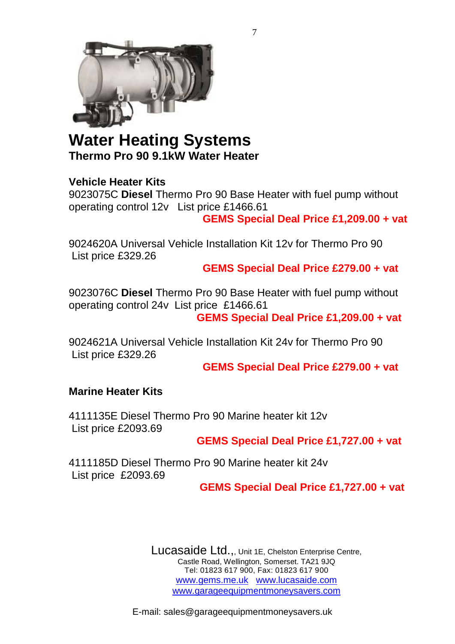

## **Water Heating Systems Thermo Pro 90 9.1kW Water Heater**

## **Vehicle Heater Kits**

9023075C **Diesel** Thermo Pro 90 Base Heater with fuel pump without operating control 12v List price £1466.61  **GEMS Special Deal Price £1,209.00 + vat**

9024620A Universal Vehicle Installation Kit 12v for Thermo Pro 90 List price £329.26

**GEMS Special Deal Price £279.00 + vat**

9023076C **Diesel** Thermo Pro 90 Base Heater with fuel pump without operating control 24v List price £1466.61 **GEMS Special Deal Price £1,209.00 + vat**

9024621A Universal Vehicle Installation Kit 24v for Thermo Pro 90 List price £329.26

**GEMS Special Deal Price £279.00 + vat**

## **Marine Heater Kits**

4111135E Diesel Thermo Pro 90 Marine heater kit 12v List price £2093.69

## **GEMS Special Deal Price £1,727.00 + vat**

4111185D Diesel Thermo Pro 90 Marine heater kit 24v List price £2093.69

## **GEMS Special Deal Price £1,727.00 + vat**

Lucasaide Ltd.,, Unit 1E, Chelston Enterprise Centre, Castle Road, Wellington, Somerset. TA21 9JQ Tel: 01823 617 900, Fax: 01823 617 900 www.gems.me.uk www.lucasaide.com www.garageequipmentmoneysavers.com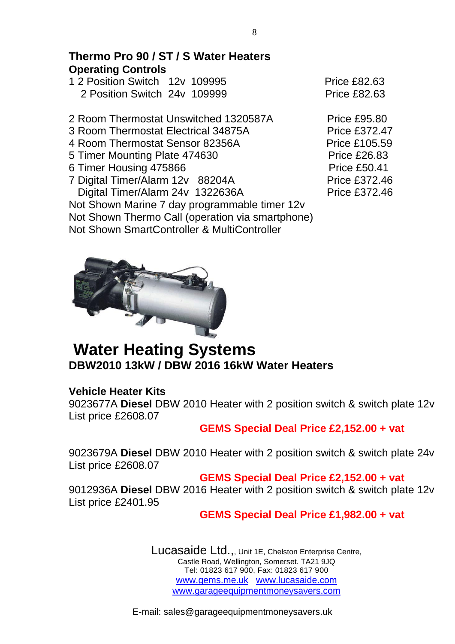## **Thermo Pro 90 / ST / S Water Heaters Operating Controls**

- 1 2 Position Switch 12v 109995 Price £82.63 2 Position Switch 24v 109999 Price £82.63
- 2 Room Thermostat Unswitched 1320587A Price £95.80
- 3 Room Thermostat Electrical 34875A Price £372.47
- 4 Room Thermostat Sensor 82356A Price £105.59
- 5 Timer Mounting Plate 474630 Price £26.83
- 6 Timer Housing 475866 Price £50.41
- 7 Digital Timer/Alarm 12v 88204A Price £372.46 Digital Timer/Alarm 24v 1322636A Price £372.46

Not Shown Marine 7 day programmable timer 12v Not Shown Thermo Call (operation via smartphone) Not Shown SmartController & MultiController



## **Water Heating Systems DBW2010 13kW / DBW 2016 16kW Water Heaters**

## **Vehicle Heater Kits**

9023677A **Diesel** DBW 2010 Heater with 2 position switch & switch plate 12v List price £2608.07

## **GEMS Special Deal Price £2,152.00 + vat**

9023679A **Diesel** DBW 2010 Heater with 2 position switch & switch plate 24v List price £2608.07

**GEMS Special Deal Price £2,152.00 + vat**

9012936A **Diesel** DBW 2016 Heater with 2 position switch & switch plate 12v List price £2401.95

## **GEMS Special Deal Price £1,982.00 + vat**

Lucasaide Ltd.,, Unit 1E, Chelston Enterprise Centre, Castle Road, Wellington, Somerset. TA21 9JQ Tel: 01823 617 900, Fax: 01823 617 900 www.gems.me.uk www.lucasaide.com www.garageequipmentmoneysavers.com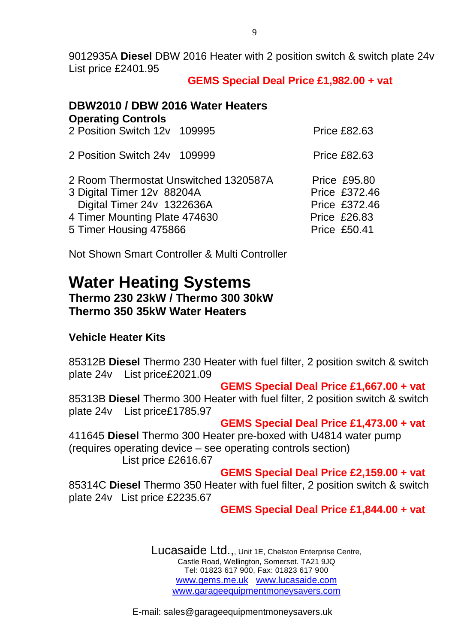9012935A **Diesel** DBW 2016 Heater with 2 position switch & switch plate 24v List price £2401.95

## **GEMS Special Deal Price £1,982.00 + vat**

## **DBW2010 / DBW 2016 Water Heaters Operating Controls** 2 Position Switch 12v 109995 Price £82.63 2 Position Switch 24y 109999 Price £82.63 2 Room Thermostat Unswitched 1320587A Price £95.80 3 Digital Timer 12v 88204A Price £372.46 Digital Timer 24v 1322636A Price £372.46 4 Timer Mounting Plate 474630 Price £26.83 5 Timer Housing 475866 Price £50.41

Not Shown Smart Controller & Multi Controller

## **Water Heating Systems Thermo 230 23kW / Thermo 300 30kW Thermo 350 35kW Water Heaters**

## **Vehicle Heater Kits**

85312B **Diesel** Thermo 230 Heater with fuel filter, 2 position switch & switch plate 24v List price£2021.09

## **GEMS Special Deal Price £1,667.00 + vat**

85313B **Diesel** Thermo 300 Heater with fuel filter, 2 position switch & switch plate 24v List price£1785.97

#### **GEMS Special Deal Price £1,473.00 + vat**

411645 **Diesel** Thermo 300 Heater pre-boxed with U4814 water pump (requires operating device – see operating controls section)

List price £2616.67

## **GEMS Special Deal Price £2,159.00 + vat**

85314C **Diesel** Thermo 350 Heater with fuel filter, 2 position switch & switch plate 24v List price £2235.67

## **GEMS Special Deal Price £1,844.00 + vat**

Lucasaide Ltd.,, Unit 1E, Chelston Enterprise Centre, Castle Road, Wellington, Somerset. TA21 9JQ Tel: 01823 617 900, Fax: 01823 617 900 www.gems.me.uk www.lucasaide.com www.garageequipmentmoneysavers.com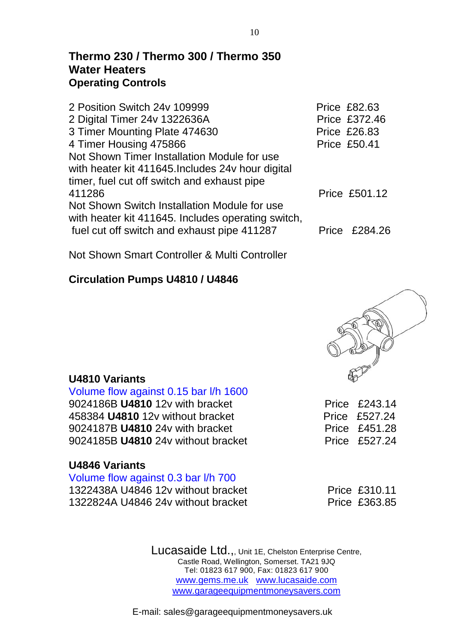## **Thermo 230 / Thermo 300 / Thermo 350 Water Heaters Operating Controls**

| 2 Position Switch 24v 109999                       | <b>Price £82.63</b>  |
|----------------------------------------------------|----------------------|
| 2 Digital Timer 24v 1322636A                       | Price £372.46        |
| 3 Timer Mounting Plate 474630                      | <b>Price £26.83</b>  |
| 4 Timer Housing 475866                             | <b>Price £50.41</b>  |
| Not Shown Timer Installation Module for use        |                      |
| with heater kit 411645. Includes 24v hour digital  |                      |
| timer, fuel cut off switch and exhaust pipe        |                      |
| 411286                                             | <b>Price £501.12</b> |
| Not Shown Switch Installation Module for use       |                      |
| with heater kit 411645. Includes operating switch, |                      |
| fuel cut off switch and exhaust pipe 411287        | Price £284.26        |
|                                                    |                      |

Not Shown Smart Controller & Multi Controller

## **Circulation Pumps U4810 / U4846**



#### Volume flow against 0.15 bar l/h 1600 9024186B **U4810** 12v with bracket Price £243.14

458384 **U4810** 12v without bracket Price £527.24 9024187B **U4810** 24y with bracket Price £451.28 9024185B **U4810** 24v without bracket Price £527.24

## **U4846 Variants**

**U4810 Variants** 

Volume flow against 0.3 bar l/h 700 1322438A U4846 12v without bracket Price £310.11 1322824A U4846 24v without bracket Price £363.85

Lucasaide Ltd.,, Unit 1E, Chelston Enterprise Centre, Castle Road, Wellington, Somerset. TA21 9JQ Tel: 01823 617 900, Fax: 01823 617 900 www.gems.me.uk www.lucasaide.com www.garageequipmentmoneysavers.com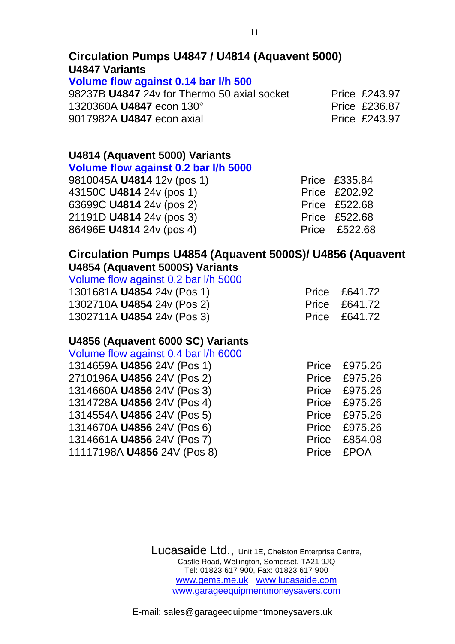## **Circulation Pumps U4847 / U4814 (Aquavent 5000) U4847 Variants**

#### **Volume flow against 0.14 bar l/h 500**

98237B **U4847** 24v for Thermo 50 axial socket Price £243.97 1320360A **U4847** econ 130° **Price £236.87** 9017982A U4847 econ axial **Price £243.97** 

## **U4814 (Aquavent 5000) Variants**

## **Volume flow against 0.2 bar l/h 5000**

| 9810045A U4814 12v (pos 1)      | Price £335.84 |
|---------------------------------|---------------|
| 43150C <b>U4814</b> 24v (pos 1) | Price £202.92 |
| 63699C U4814 24v (pos 2)        | Price £522.68 |
| 21191D <b>U4814</b> 24v (pos 3) | Price £522.68 |
| 86496E U4814 24v (pos 4)        | Price £522.68 |

#### **Circulation Pumps U4854 (Aquavent 5000S)/ U4856 (Aquavent U4854 (Aquavent 5000S) Variants**

| Volume flow against 0.2 bar I/h 5000 |               |
|--------------------------------------|---------------|
| 1301681A U4854 24v (Pos 1)           | Price £641.72 |
| 1302710A U4854 24v (Pos 2)           | Price £641.72 |
| 1302711A U4854 24v (Pos 3)           | Price £641.72 |

## **U4856 (Aquavent 6000 SC) Variants**

| Volume flow against 0.4 bar I/h 6000 |            |               |
|--------------------------------------|------------|---------------|
| 1314659A U4856 24V (Pos 1)           | Price      | £975.26       |
| 2710196A U4856 24V (Pos 2)           |            | Price £975.26 |
| 1314660A U4856 24V (Pos 3)           |            | Price £975.26 |
| 1314728A U4856 24V (Pos 4)           |            | Price £975.26 |
| 1314554A U4856 24V (Pos 5)           |            | Price £975.26 |
| 1314670A U4856 24V (Pos 6)           |            | Price £975.26 |
| 1314661A U4856 24V (Pos 7)           |            | Price £854.08 |
| 11117198A U4856 24V (Pos 8)          | Price £POA |               |

Lucasaide Ltd.,, Unit 1E, Chelston Enterprise Centre, Castle Road, Wellington, Somerset. TA21 9JQ Tel: 01823 617 900, Fax: 01823 617 900 www.gems.me.uk www.lucasaide.com www.garageequipmentmoneysavers.com

11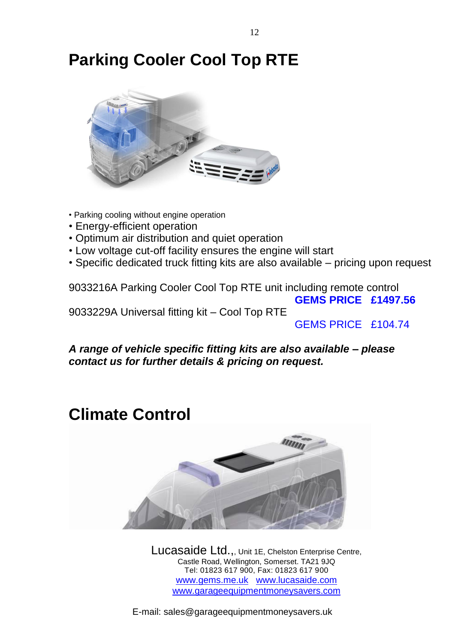## **Parking Cooler Cool Top RTE**



- Parking cooling without engine operation
- Energy-efficient operation
- Optimum air distribution and quiet operation
- Low voltage cut-off facility ensures the engine will start
- Specific dedicated truck fitting kits are also available pricing upon request

9033216A Parking Cooler Cool Top RTE unit including remote control  **GEMS PRICE £1497.56** 9033229A Universal fitting kit – Cool Top RTE

GEMS PRICE £104.74

*A range of vehicle specific fitting kits are also available – please contact us for further details & pricing on request.*

## **Climate Control**



Lucasaide Ltd.,, Unit 1E, Chelston Enterprise Centre, Castle Road, Wellington, Somerset. TA21 9JQ Tel: 01823 617 900, Fax: 01823 617 900 www.gems.me.uk www.lucasaide.com www.garageequipmentmoneysavers.com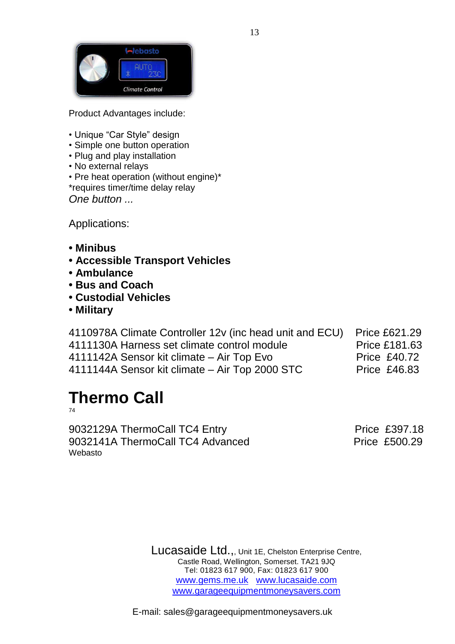

Product Advantages include:

- Unique "Car Style" design
- Simple one button operation
- Plug and play installation
- No external relays

• Pre heat operation (without engine)\* \*requires timer/time delay relay *One button ...*

Applications:

- **Minibus**
- **Accessible Transport Vehicles**
- **Ambulance**
- **Bus and Coach**
- **Custodial Vehicles**
- **Military**

| 4110978A Climate Controller 12v (inc head unit and ECU) | <b>Price £621.29</b> |
|---------------------------------------------------------|----------------------|
| 4111130A Harness set climate control module             | <b>Price £181.63</b> |
| 4111142A Sensor kit climate – Air Top Evo               | <b>Price £40.72</b>  |
| 4111144A Sensor kit climate - Air Top 2000 STC          | <b>Price £46.83</b>  |

# **Thermo Call**

74

9032129A ThermoCall TC4 Entry Price £397.18 9032141A ThermoCall TC4 Advanced Price £500.29 Webasto

Lucasaide Ltd.,, Unit 1E, Chelston Enterprise Centre, Castle Road, Wellington, Somerset. TA21 9JQ Tel: 01823 617 900, Fax: 01823 617 900 www.gems.me.uk www.lucasaide.com www.garageequipmentmoneysavers.com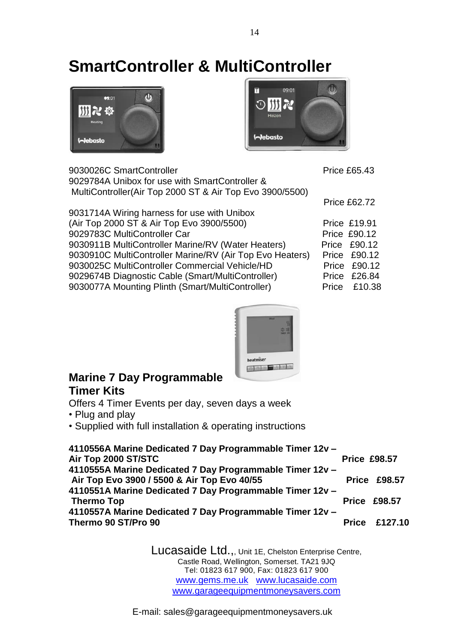## **SmartController & MultiController**





| 9030026C SmartController                                 | <b>Price £65.43</b> |
|----------------------------------------------------------|---------------------|
| 9029784A Unibox for use with SmartController &           |                     |
| MultiController(Air Top 2000 ST & Air Top Evo 3900/5500) |                     |
|                                                          | <b>Price £62.72</b> |
| 9031714A Wiring harness for use with Unibox              |                     |
| (Air Top 2000 ST & Air Top Evo 3900/5500)                | <b>Price £19.91</b> |
| 9029783C MultiController Car                             | <b>Price £90.12</b> |
| 9030911B MultiController Marine/RV (Water Heaters)       | Price £90.12        |
| 9030910C MultiController Marine/RV (Air Top Evo Heaters) | Price £90.12        |
| 9030025C MultiController Commercial Vehicle/HD           | Price £90.12        |
| 9029674B Diagnostic Cable (Smart/MultiController)        | Price £26.84        |
| 9030077A Mounting Plinth (Smart/MultiController)         | Price £10.38        |



## **Marine 7 Day Programmable Timer Kits**

Offers 4 Timer Events per day, seven days a week

- Plug and play
- Supplied with full installation & operating instructions

| 4110556A Marine Dedicated 7 Day Programmable Timer 12v - |                     |                      |
|----------------------------------------------------------|---------------------|----------------------|
| Air Top 2000 ST/STC                                      | <b>Price £98.57</b> |                      |
| 4110555A Marine Dedicated 7 Day Programmable Timer 12v - |                     |                      |
| Air Top Evo 3900 / 5500 & Air Top Evo 40/55              |                     | <b>Price £98.57</b>  |
| 4110551A Marine Dedicated 7 Day Programmable Timer 12v - |                     |                      |
| <b>Thermo Top</b>                                        |                     | <b>Price £98.57</b>  |
| 4110557A Marine Dedicated 7 Day Programmable Timer 12v - |                     |                      |
| Thermo 90 ST/Pro 90                                      |                     | <b>Price £127.10</b> |
|                                                          |                     |                      |

Lucasaide Ltd.,, Unit 1E, Chelston Enterprise Centre, Castle Road, Wellington, Somerset. TA21 9JQ Tel: 01823 617 900, Fax: 01823 617 900 www.gems.me.uk www.lucasaide.com www.garageequipmentmoneysavers.com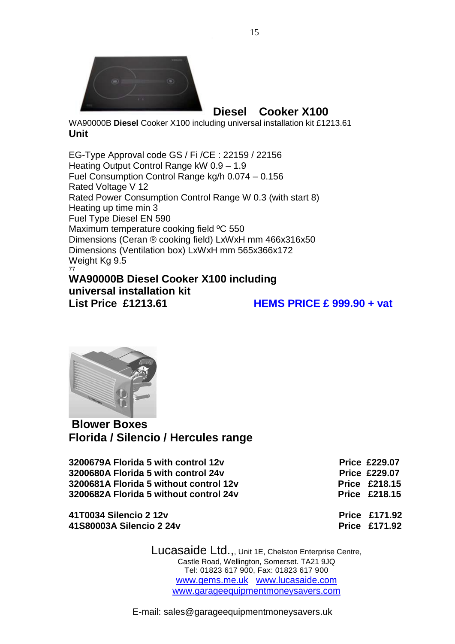

**Diesel Cooker X100**

WA90000B **Diesel** Cooker X100 including universal installation kit £1213.61 **Unit**

EG-Type Approval code GS / Fi /CE : 22159 / 22156 Heating Output Control Range kW 0.9 – 1.9 Fuel Consumption Control Range kg/h 0.074 – 0.156 Rated Voltage V 12 Rated Power Consumption Control Range W 0.3 (with start 8) Heating up time min 3 Fuel Type Diesel EN 590 Maximum temperature cooking field ºC 550 Dimensions (Ceran ® cooking field) LxWxH mm 466x316x50 Dimensions (Ventilation box) LxWxH mm 565x366x172 Weight Kg 9.5 77

## **WA90000B Diesel Cooker X100 including universal installation kit List Price £1213.61 HEMS PRICE £ 999.90 + vat**



**Blower Boxes Florida / Silencio / Hercules range**

**3200679A Florida 5 with control 12v Price £229.07 3200680A Florida 5 with control 24v Control 24v Control 24v Price £229.07 3200681A Florida 5 without control 12v Price £218.15 3200682A Florida 5 without control 24v Price £218.15**

**41T0034 Silencio 2 12v Price £171.92 41S80003A Silencio 2 24v Price £171.92**

> Lucasaide Ltd.,, Unit 1E, Chelston Enterprise Centre, Castle Road, Wellington, Somerset. TA21 9JQ Tel: 01823 617 900, Fax: 01823 617 900 www.gems.me.uk www.lucasaide.com www.garageequipmentmoneysavers.com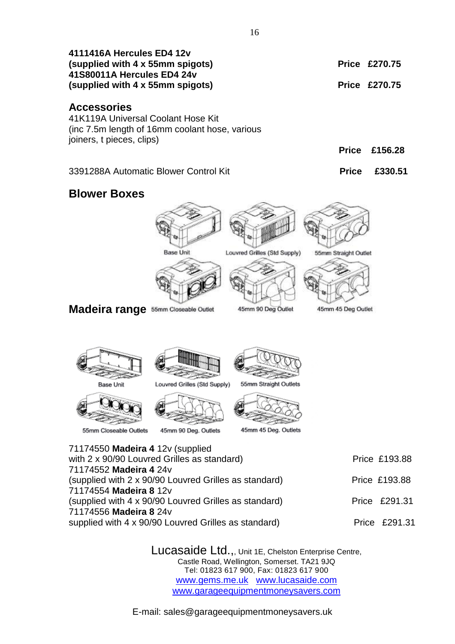| 4111416A Hercules ED4 12v<br>(supplied with 4 x 55mm spigots)<br>41S80011A Hercules ED4 24v                                                                                                                                                                                                                                             |                                                      |                                                  |                      | <b>Price £270.75</b><br><b>Price £270.75</b>                     |
|-----------------------------------------------------------------------------------------------------------------------------------------------------------------------------------------------------------------------------------------------------------------------------------------------------------------------------------------|------------------------------------------------------|--------------------------------------------------|----------------------|------------------------------------------------------------------|
| (supplied with 4 x 55mm spigots)                                                                                                                                                                                                                                                                                                        |                                                      |                                                  |                      |                                                                  |
| <b>Accessories</b><br>41K119A Universal Coolant Hose Kit<br>(inc 7.5m length of 16mm coolant hose, various<br>joiners, t pieces, clips)                                                                                                                                                                                                 |                                                      |                                                  | <b>Price</b>         | £156.28                                                          |
|                                                                                                                                                                                                                                                                                                                                         |                                                      |                                                  |                      |                                                                  |
| 3391288A Automatic Blower Control Kit                                                                                                                                                                                                                                                                                                   |                                                      |                                                  | <b>Price</b>         | £330.51                                                          |
| <b>Blower Boxes</b>                                                                                                                                                                                                                                                                                                                     |                                                      |                                                  |                      |                                                                  |
|                                                                                                                                                                                                                                                                                                                                         | <b>Base Unit</b>                                     | Louvred Grilles (Std Supply)                     | 55mm Straight Outlet |                                                                  |
| <b>Madeira range</b> 55mm Closeable Outlet                                                                                                                                                                                                                                                                                              |                                                      | 45mm 90 Deg Outlet                               | 45mm 45 Deg Outlet   |                                                                  |
| Base Unit<br>55mm Closeable Outlets                                                                                                                                                                                                                                                                                                     | Louvred Grilles (Std Supply)<br>45mm 90 Deg. Outlets | 55mm Straight Outlets<br>45mm 45 Deg. Outlets    |                      |                                                                  |
| 71174550 Madeira 4 12v (supplied<br>with 2 x 90/90 Louvred Grilles as standard)<br>71174552 Madeira 4 24v<br>(supplied with 2 x 90/90 Louvred Grilles as standard)<br>71174554 Madeira 8 12v<br>(supplied with 4 x 90/90 Louvred Grilles as standard)<br>71174556 Madeira 8 24v<br>supplied with 4 x 90/90 Louvred Grilles as standard) |                                                      |                                                  |                      | Price £193.88<br>Price £193.88<br>Price £291.31<br>Price £291.31 |
|                                                                                                                                                                                                                                                                                                                                         |                                                      | LUCASAIDE Ltd Unit 1F Chelston Enternrise Centre |                      |                                                                  |

 $\delta$ di $\alpha$ e Lt $\alpha$ .,, Unit 1E, Chelston Enterprise Centre, Castle Road, Wellington, Somerset. TA21 9JQ Tel: 01823 617 900, Fax: 01823 617 900 www.gems.me.uk www.lucasaide.com www.garageequipmentmoneysavers.com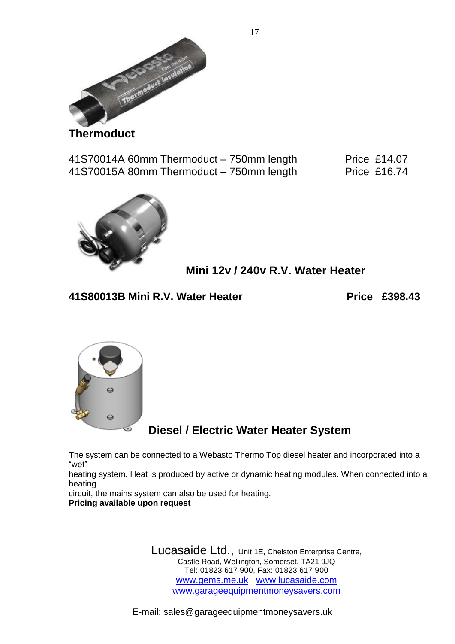

**Thermoduct**

41S70014A 60mm Thermoduct – 750mm length Price £14.07 41S70015A 80mm Thermoduct – 750mm length Price £16.74



**Mini 12v / 240v R.V. Water Heater**

**41S80013B Mini R.V. Water Heater Next Extra Price £398.43** 



**Diesel / Electric Water Heater System**

The system can be connected to a Webasto Thermo Top diesel heater and incorporated into a "wet"

heating system. Heat is produced by active or dynamic heating modules. When connected into a heating

circuit, the mains system can also be used for heating. **Pricing available upon request**

> Lucasaide Ltd.,, Unit 1E, Chelston Enterprise Centre, Castle Road, Wellington, Somerset. TA21 9JQ Tel: 01823 617 900, Fax: 01823 617 900 www.gems.me.uk www.lucasaide.com www.garageequipmentmoneysavers.com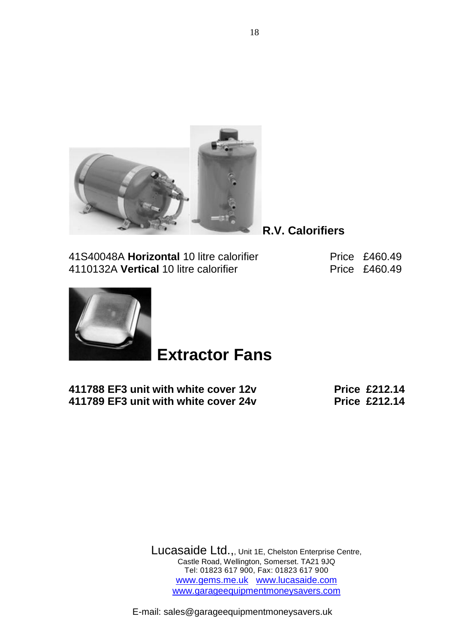

**R.V. Calorifiers**

41S40048A **Horizontal** 10 litre calorifier Price £460.49 4110132A Vertical 10 litre calorifier **Price £460.49** 



## **Extractor Fans**

**411788 EF3 unit with white cover 12v Price £212.14 411789 EF3 unit with white cover 24v Price £212.14**

Lucasaide Ltd.,, Unit 1E, Chelston Enterprise Centre, Castle Road, Wellington, Somerset. TA21 9JQ Tel: 01823 617 900, Fax: 01823 617 900 www.gems.me.uk www.lucasaide.com www.garageequipmentmoneysavers.com